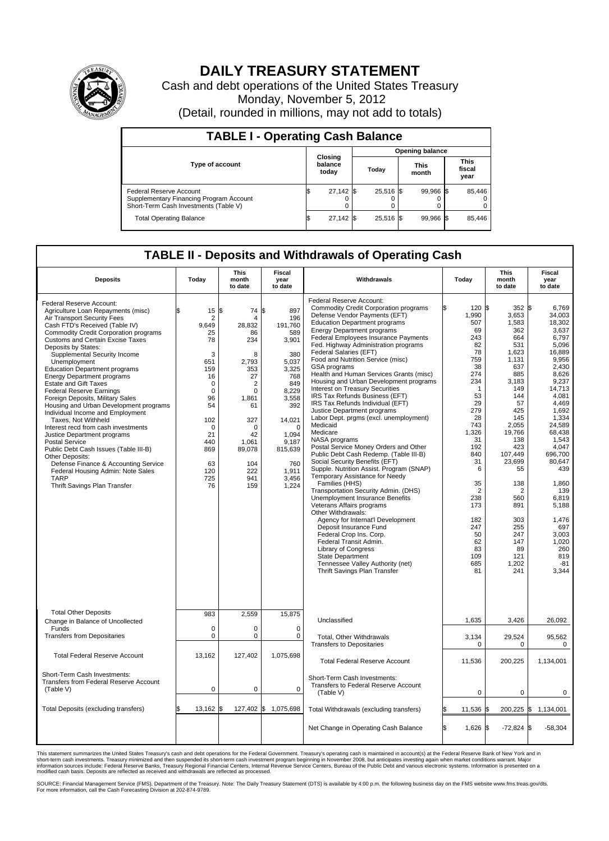

## **DAILY TREASURY STATEMENT**

Cash and debt operations of the United States Treasury Monday, November 5, 2012 (Detail, rounded in millions, may not add to totals)

| <b>TABLE I - Operating Cash Balance</b>                                                                     |                             |             |                        |           |               |                |                               |                         |  |
|-------------------------------------------------------------------------------------------------------------|-----------------------------|-------------|------------------------|-----------|---------------|----------------|-------------------------------|-------------------------|--|
|                                                                                                             | Closing<br>balance<br>today |             | <b>Opening balance</b> |           |               |                |                               |                         |  |
| <b>Type of account</b>                                                                                      |                             |             | Today                  |           | This<br>month |                | <b>This</b><br>fiscal<br>year |                         |  |
| Federal Reserve Account<br>Supplementary Financing Program Account<br>Short-Term Cash Investments (Table V) | ß.                          | $27,142$ \$ |                        | 25,516 \$ |               | 99.966 \$<br>0 |                               | 85,446<br>$^{(1)}$<br>0 |  |
| <b>Total Operating Balance</b>                                                                              | 1\$                         | $27,142$ \$ |                        | 25.516 \$ |               | 99.966 \$      |                               | 85.446                  |  |

## **TABLE II - Deposits and Withdrawals of Operating Cash**

| <b>Deposits</b>                                                                                                                                                                                                                                                                                                                                                                                                                                                                                                                                                                                                                                                                                                                                                                                                                                                                   | Todav                                                                                                                                                                                  | <b>This</b><br>month<br>to date                                                                                                                                                          | Fiscal<br>year<br>to date                                                                                                                                                                            | Withdrawals                                                                                                                                                                                                                                                                                                                                                                                                                                                                                                                                                                                                                                                                                                                                                                                                                                                                                                                                                                                                                                                                                                                                                                                                                                                                                    | Today                                                                                                                                                                                                                                                     | <b>This</b><br>month<br>to date                                                                                                                                                                                                                                                        | <b>Fiscal</b><br>year<br>to date                                                                                                                                                                                                                                                                                       |  |
|-----------------------------------------------------------------------------------------------------------------------------------------------------------------------------------------------------------------------------------------------------------------------------------------------------------------------------------------------------------------------------------------------------------------------------------------------------------------------------------------------------------------------------------------------------------------------------------------------------------------------------------------------------------------------------------------------------------------------------------------------------------------------------------------------------------------------------------------------------------------------------------|----------------------------------------------------------------------------------------------------------------------------------------------------------------------------------------|------------------------------------------------------------------------------------------------------------------------------------------------------------------------------------------|------------------------------------------------------------------------------------------------------------------------------------------------------------------------------------------------------|------------------------------------------------------------------------------------------------------------------------------------------------------------------------------------------------------------------------------------------------------------------------------------------------------------------------------------------------------------------------------------------------------------------------------------------------------------------------------------------------------------------------------------------------------------------------------------------------------------------------------------------------------------------------------------------------------------------------------------------------------------------------------------------------------------------------------------------------------------------------------------------------------------------------------------------------------------------------------------------------------------------------------------------------------------------------------------------------------------------------------------------------------------------------------------------------------------------------------------------------------------------------------------------------|-----------------------------------------------------------------------------------------------------------------------------------------------------------------------------------------------------------------------------------------------------------|----------------------------------------------------------------------------------------------------------------------------------------------------------------------------------------------------------------------------------------------------------------------------------------|------------------------------------------------------------------------------------------------------------------------------------------------------------------------------------------------------------------------------------------------------------------------------------------------------------------------|--|
| Federal Reserve Account:<br>Agriculture Loan Repayments (misc)<br>Air Transport Security Fees<br>Cash FTD's Received (Table IV)<br><b>Commodity Credit Corporation programs</b><br><b>Customs and Certain Excise Taxes</b><br>Deposits by States:<br>Supplemental Security Income<br>Unemployment<br><b>Education Department programs</b><br><b>Energy Department programs</b><br><b>Estate and Gift Taxes</b><br><b>Federal Reserve Earnings</b><br>Foreign Deposits, Military Sales<br>Housing and Urban Development programs<br>Individual Income and Employment<br>Taxes, Not Withheld<br>Interest recd from cash investments<br>Justice Department programs<br><b>Postal Service</b><br>Public Debt Cash Issues (Table III-B)<br>Other Deposits:<br>Defense Finance & Accounting Service<br>Federal Housing Admin: Note Sales<br><b>TARP</b><br>Thrift Savings Plan Transfer | \$<br>15<br>$\overline{2}$<br>9,649<br>25<br>78<br>3<br>651<br>159<br>16<br>$\mathbf 0$<br>$\mathbf 0$<br>96<br>54<br>102<br>$\mathbf 0$<br>21<br>440<br>869<br>63<br>120<br>725<br>76 | l\$<br>74<br>4<br>28,832<br>86<br>234<br>8<br>2,793<br>353<br>27<br>$\overline{2}$<br>$\mathbf 0$<br>1,861<br>61<br>327<br>$\Omega$<br>42<br>1,061<br>89,078<br>104<br>222<br>941<br>159 | l\$<br>897<br>196<br>191,760<br>589<br>3,901<br>380<br>5,037<br>3,325<br>768<br>849<br>8,229<br>3,558<br>392<br>14,021<br>$\mathbf 0$<br>1.094<br>9,187<br>815,639<br>760<br>1,911<br>3,456<br>1,224 | <b>Federal Reserve Account:</b><br><b>Commodity Credit Corporation programs</b><br>Defense Vendor Payments (EFT)<br><b>Education Department programs</b><br><b>Energy Department programs</b><br>Federal Employees Insurance Payments<br>Fed. Highway Administration programs<br>Federal Salaries (EFT)<br>Food and Nutrition Service (misc)<br>GSA programs<br>Health and Human Services Grants (misc)<br>Housing and Urban Development programs<br><b>Interest on Treasury Securities</b><br>IRS Tax Refunds Business (EFT)<br>IRS Tax Refunds Individual (EFT)<br>Justice Department programs<br>Labor Dept. prgms (excl. unemployment)<br>Medicaid<br>Medicare<br>NASA programs<br>Postal Service Money Orders and Other<br>Public Debt Cash Redemp. (Table III-B)<br>Social Security Benefits (EFT)<br>Supple. Nutrition Assist. Program (SNAP)<br>Temporary Assistance for Needy<br>Families (HHS)<br>Transportation Security Admin. (DHS)<br><b>Unemployment Insurance Benefits</b><br>Veterans Affairs programs<br>Other Withdrawals:<br>Agency for Internat'l Development<br>Deposit Insurance Fund<br>Federal Crop Ins. Corp.<br>Federal Transit Admin.<br><b>Library of Congress</b><br><b>State Department</b><br>Tennessee Valley Authority (net)<br>Thrift Savings Plan Transfer | 120S<br>1,990<br>507<br>69<br>243<br>82<br>78<br>759<br>38<br>274<br>234<br>$\mathbf 1$<br>53<br>29<br>279<br>28<br>743<br>1,326<br>31<br>192<br>840<br>31<br>6<br>35<br>$\overline{2}$<br>238<br>173<br>182<br>247<br>50<br>62<br>83<br>109<br>685<br>81 | $352$ \$<br>3,653<br>1,583<br>362<br>664<br>531<br>1,623<br>1,131<br>637<br>885<br>3,183<br>149<br>144<br>57<br>425<br>145<br>2.055<br>19,766<br>138<br>423<br>107,449<br>23,699<br>55<br>138<br>$\overline{2}$<br>560<br>891<br>303<br>255<br>247<br>147<br>89<br>121<br>1,202<br>241 | 6,769<br>34,003<br>18,302<br>3,637<br>6,797<br>5.096<br>16,889<br>9.956<br>2,430<br>8,626<br>9,237<br>14,713<br>4,081<br>4,469<br>1,692<br>1,334<br>24.589<br>68,438<br>1.543<br>4.047<br>696,700<br>80,647<br>439<br>1,860<br>139<br>6,819<br>5,188<br>1.476<br>697<br>3,003<br>1.020<br>260<br>819<br>$-81$<br>3,344 |  |
| <b>Total Other Deposits</b><br>Change in Balance of Uncollected                                                                                                                                                                                                                                                                                                                                                                                                                                                                                                                                                                                                                                                                                                                                                                                                                   | 983                                                                                                                                                                                    | 2.559                                                                                                                                                                                    | 15,875                                                                                                                                                                                               | Unclassified                                                                                                                                                                                                                                                                                                                                                                                                                                                                                                                                                                                                                                                                                                                                                                                                                                                                                                                                                                                                                                                                                                                                                                                                                                                                                   | 1,635                                                                                                                                                                                                                                                     | 3,426                                                                                                                                                                                                                                                                                  | 26,092                                                                                                                                                                                                                                                                                                                 |  |
| Funds<br><b>Transfers from Depositaries</b>                                                                                                                                                                                                                                                                                                                                                                                                                                                                                                                                                                                                                                                                                                                                                                                                                                       | $\mathbf 0$<br>$\mathbf 0$                                                                                                                                                             | 0<br>$\mathbf 0$                                                                                                                                                                         | $\mathbf 0$<br>$\mathbf 0$                                                                                                                                                                           | <b>Total. Other Withdrawals</b>                                                                                                                                                                                                                                                                                                                                                                                                                                                                                                                                                                                                                                                                                                                                                                                                                                                                                                                                                                                                                                                                                                                                                                                                                                                                | 3,134                                                                                                                                                                                                                                                     | 29,524                                                                                                                                                                                                                                                                                 | 95,562                                                                                                                                                                                                                                                                                                                 |  |
| <b>Total Federal Reserve Account</b>                                                                                                                                                                                                                                                                                                                                                                                                                                                                                                                                                                                                                                                                                                                                                                                                                                              | 13,162                                                                                                                                                                                 | 127,402                                                                                                                                                                                  | 1,075,698                                                                                                                                                                                            | <b>Transfers to Depositaries</b>                                                                                                                                                                                                                                                                                                                                                                                                                                                                                                                                                                                                                                                                                                                                                                                                                                                                                                                                                                                                                                                                                                                                                                                                                                                               | 0                                                                                                                                                                                                                                                         | 0                                                                                                                                                                                                                                                                                      | 0                                                                                                                                                                                                                                                                                                                      |  |
| Short-Term Cash Investments:                                                                                                                                                                                                                                                                                                                                                                                                                                                                                                                                                                                                                                                                                                                                                                                                                                                      |                                                                                                                                                                                        |                                                                                                                                                                                          |                                                                                                                                                                                                      | <b>Total Federal Reserve Account</b>                                                                                                                                                                                                                                                                                                                                                                                                                                                                                                                                                                                                                                                                                                                                                                                                                                                                                                                                                                                                                                                                                                                                                                                                                                                           | 11,536                                                                                                                                                                                                                                                    | 200,225                                                                                                                                                                                                                                                                                | 1,134,001                                                                                                                                                                                                                                                                                                              |  |
| <b>Transfers from Federal Reserve Account</b><br>(Table V)                                                                                                                                                                                                                                                                                                                                                                                                                                                                                                                                                                                                                                                                                                                                                                                                                        | 0                                                                                                                                                                                      | $\mathbf 0$                                                                                                                                                                              | $\mathbf 0$                                                                                                                                                                                          | Short-Term Cash Investments:<br>Transfers to Federal Reserve Account<br>(Table V)                                                                                                                                                                                                                                                                                                                                                                                                                                                                                                                                                                                                                                                                                                                                                                                                                                                                                                                                                                                                                                                                                                                                                                                                              | $\mathbf 0$                                                                                                                                                                                                                                               | 0                                                                                                                                                                                                                                                                                      | $\mathbf 0$                                                                                                                                                                                                                                                                                                            |  |
| Total Deposits (excluding transfers)                                                                                                                                                                                                                                                                                                                                                                                                                                                                                                                                                                                                                                                                                                                                                                                                                                              | $13,162$ \$                                                                                                                                                                            |                                                                                                                                                                                          | 127,402 \$ 1,075,698                                                                                                                                                                                 | Total Withdrawals (excluding transfers)                                                                                                                                                                                                                                                                                                                                                                                                                                                                                                                                                                                                                                                                                                                                                                                                                                                                                                                                                                                                                                                                                                                                                                                                                                                        | 11,536                                                                                                                                                                                                                                                    | I\$                                                                                                                                                                                                                                                                                    | 200,225 \$ 1,134,001                                                                                                                                                                                                                                                                                                   |  |
|                                                                                                                                                                                                                                                                                                                                                                                                                                                                                                                                                                                                                                                                                                                                                                                                                                                                                   |                                                                                                                                                                                        |                                                                                                                                                                                          |                                                                                                                                                                                                      | Net Change in Operating Cash Balance                                                                                                                                                                                                                                                                                                                                                                                                                                                                                                                                                                                                                                                                                                                                                                                                                                                                                                                                                                                                                                                                                                                                                                                                                                                           | $1,626$ \$<br>l\$                                                                                                                                                                                                                                         | $-72,824$ \$                                                                                                                                                                                                                                                                           | $-58,304$                                                                                                                                                                                                                                                                                                              |  |

This statement summarizes the United States Treasury's cash and debt operations for the Federal Government. Treasury's operating cash is maintained in account(s) at the Federal Reserve Bank of New York and in<br>short-term ca

SOURCE: Financial Management Service (FMS), Department of the Treasury. Note: The Daily Treasury Statement (DTS) is available by 4:00 p.m. the following business day on the FMS website www.fms.treas.gov/dts.<br>For more infor